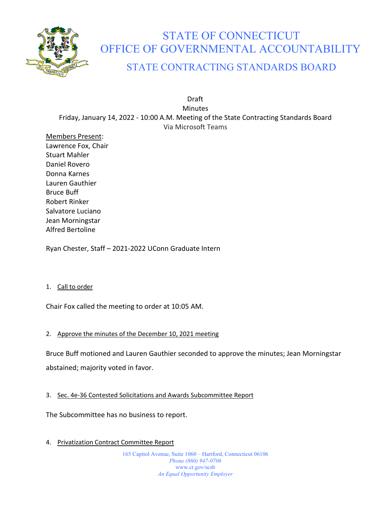

# STATE OF CONNECTICUT OFFICE OF GOVERNMENTAL ACCOUNTABILITY

# STATE CONTRACTING STANDARDS BOARD

Draft Minutes Friday, January 14, 2022 - 10:00 A.M. Meeting of the State Contracting Standards Board Via Microsoft Teams

Members Present: Lawrence Fox, Chair Stuart Mahler Daniel Rovero Donna Karnes Lauren Gauthier Bruce Buff Robert Rinker Salvatore Luciano Jean Morningstar Alfred Bertoline

Ryan Chester, Staff – 2021-2022 UConn Graduate Intern

## 1. Call to order

Chair Fox called the meeting to order at 10:05 AM.

## 2. Approve the minutes of the December 10, 2021 meeting

Bruce Buff motioned and Lauren Gauthier seconded to approve the minutes; Jean Morningstar abstained; majority voted in favor.

## 3. Sec. 4e-36 Contested Solicitations and Awards Subcommittee Report

The Subcommittee has no business to report.

4. Privatization Contract Committee Report

165 Capitol Avenue, Suite 1060 – Hartford, Connecticut 06106 *Phone (860) 947-0706*  www.ct.gov/scsb *An Equal Opportunity Employer*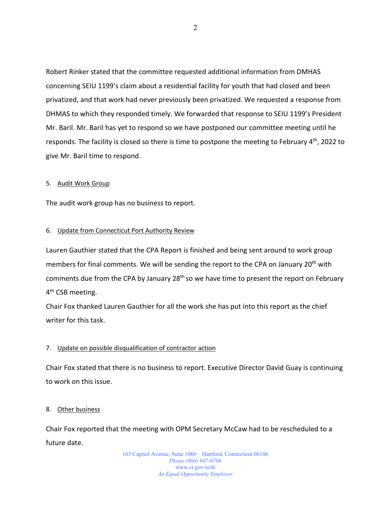Robert Rinker stated that the committee requested additional information from DMHAS concerning SEIU 1199's claim about a residential facility for youth that had closed and been privatized, and that work had never previously been privatized. We requested a response from DHMAS to which they responded timely. We forwarded that response to SEIU 1199's President Mr. Baril. Mr. Baril has yet to respond so we have postponed our committee meeting until he responds. The facility is closed so there is time to postpone the meeting to February 4<sup>th</sup>, 2022 to give Mr. Baril time to respond.

## 5. Audit Work Group

The audit work group has no business to report.

## 6. Update from Connecticut Port Authority Review

Lauren Gauthier stated that the CPA Report is finished and being sent around to work group members for final comments. We will be sending the report to the CPA on January 20<sup>th</sup> with comments due from the CPA by January 28<sup>th</sup> so we have time to present the report on February 4<sup>th</sup> CSB meeting.

Chair Fox thanked Lauren Gauthier for all the work she has put into this report as the chief writer for this task.

## 7. Update on possible disqualification of contractor action

Chair Fox stated that there is no business to report. Executive Director David Guay is continuing to work on this issue.

## 8. Other business

Chair Fox reported that the meeting with OPM Secretary McCaw had to be rescheduled to a future date.

> 165 Capitol Avenue, Suite 1060 – Hartford, Connecticut 06106 *Phone (860) 947-0706*  www.ct.gov/scsb *An Equal Opportunity Employer*

2